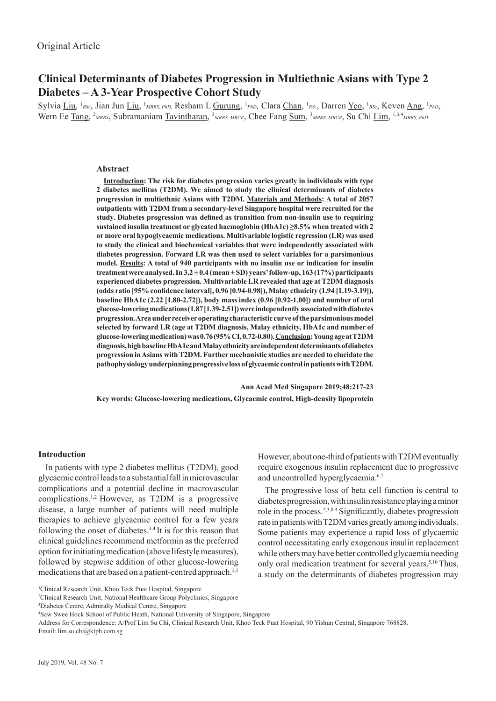# **Clinical Determinants of Diabetes Progression in Multiethnic Asians with Type 2 Diabetes – A 3-Year Prospective Cohort Study**

Sylvia Liu, <sup>1</sup>BSc, Jian Jun Liu, <sup>1</sup>MBBS, PhD, Resham L Gurung, <sup>1</sup>PhD, Clara Chan, <sup>1</sup>BSc, Darren <u>Yeo, <sup>1</sup>BSc,</u> Keven Ang, <sup>1</sup>PhD, Wern Ee Tang, <sup>2</sup>MBBS, Subramaniam Tavintharan, <sup>3</sup>MBBS, MRCP, Chee Fang Sum, <sup>3</sup>MBBS, MRCP, Su Chi Lim, <sup>1,3,4</sup>MBBS, PhD

## **Abstract**

**Introduction: The risk for diabetes progression varies greatly in individuals with type 2 diabetes mellitus (T2DM). We aimed to study the clinical determinants of diabetes progression in multiethnic Asians with T2DM. Materials and Methods: A total of 2057 outpatients with T2DM from a secondary-level Singapore hospital were recruited for the study. Diabetes progression was defined as transition from non-insulin use to requiring sustained insulin treatment or glycated haemoglobin (HbA1c) ≥8.5% when treated with 2 or more oral hypoglycaemic medications. Multivariable logistic regression (LR) was used to study the clinical and biochemical variables that were independently associated with diabetes progression. Forward LR was then used to select variables for a parsimonious model. Results: A total of 940 participants with no insulin use or indication for insulin treatment were analysed. In 3.2 ± 0.4 (mean ± SD) years' follow-up, 163 (17%) participants experienced diabetes progression. Multivariable LR revealed that age at T2DM diagnosis (odds ratio [95% confidence interval], 0.96 [0.94-0.98]), Malay ethnicity (1.94 [1.19-3.19]), baseline HbA1c (2.22 [1.80-2.72]), body mass index (0.96 [0.92-1.00]) and number of oral glucose-lowering medications (1.87 [1.39-2.51]) were independently associated with diabetes progression. Area under receiver operating characteristic curve of the parsimonious model selected by forward LR (age at T2DM diagnosis, Malay ethnicity, HbA1c and number of glucose-lowering medication) was 0.76 (95% CI, 0.72-0.80). Conclusion: Young age at T2DM diagnosis, high baseline HbA1c and Malay ethnicity are independent determinants of diabetes progression in Asians with T2DM. Further mechanistic studies are needed to elucidate the pathophysiology underpinning progressive loss of glycaemic control in patients with T2DM.**

 **Ann Acad Med Singapore 2019;48:217-23 Key words: Glucose-lowering medications, Glycaemic control, High-density lipoprotein** 

## **Introduction**

In patients with type 2 diabetes mellitus (T2DM), good glycaemic control leads to a substantial fall in microvascular complications and a potential decline in macrovascular complications.1,2 However, as T2DM is a progressive disease, a large number of patients will need multiple therapies to achieve glycaemic control for a few years following the onset of diabetes.<sup>3,4</sup> It is for this reason that clinical guidelines recommend metformin as the preferred option for initiating medication (above lifestyle measures), followed by stepwise addition of other glucose-lowering medications that are based on a patient-centred approach.<sup>2,5</sup>

However, about one-third of patients with T2DM eventually require exogenous insulin replacement due to progressive and uncontrolled hyperglycaemia.6,7

The progressive loss of beta cell function is central to diabetes progression, with insulin resistance playing a minor role in the process.2,3,8,9 Significantly, diabetes progression rate in patients with T2DM varies greatly among individuals. Some patients may experience a rapid loss of glycaemic control necessitating early exogenous insulin replacement while others may have better controlled glycaemia needing only oral medication treatment for several years.5,10 Thus, a study on the determinants of diabetes progression may

<sup>1</sup> Clinical Research Unit, Khoo Teck Puat Hospital, Singapore

<sup>2</sup> Clinical Research Unit, National Healthcare Group Polyclinics, Singapore

<sup>3</sup> Diabetes Centre, Admiralty Medical Centre, Singapore

<sup>4</sup> Saw Swee Hock School of Public Heath, National University of Singapore, Singapore

Address for Correspondence: A/Prof Lim Su Chi, Clinical Research Unit, Khoo Teck Puat Hospital, 90 Yishun Central, Singapore 768828. Email: lim.su.chi@ktph.com.sg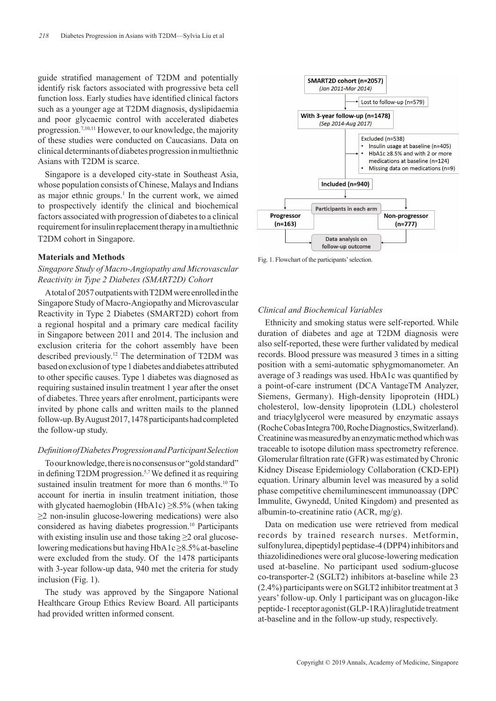guide stratified management of T2DM and potentially identify risk factors associated with progressive beta cell function loss. Early studies have identified clinical factors such as a younger age at T2DM diagnosis, dyslipidaemia and poor glycaemic control with accelerated diabetes progression.7,10,11 However, to our knowledge, the majority of these studies were conducted on Caucasians. Data on clinical determinants of diabetes progression in multiethnic Asians with T2DM is scarce.

Singapore is a developed city-state in Southeast Asia, whose population consists of Chinese, Malays and Indians as major ethnic groups.<sup>1</sup> In the current work, we aimed to prospectively identify the clinical and biochemical factors associated with progression of diabetes to a clinical requirement for insulin replacement therapy in a multiethnic T2DM cohort in Singapore.

## **Materials and Methods**

## *Singapore Study of Macro-Angiopathy and Microvascular Reactivity in Type 2 Diabetes (SMART2D) Cohort*

A total of 2057 outpatients with T2DM were enrolled in the Singapore Study of Macro-Angiopathy and Microvascular Reactivity in Type 2 Diabetes (SMART2D) cohort from a regional hospital and a primary care medical facility in Singapore between 2011 and 2014. The inclusion and exclusion criteria for the cohort assembly have been described previously.12 The determination of T2DM was based on exclusion of type 1 diabetes and diabetes attributed to other specific causes. Type 1 diabetes was diagnosed as requiring sustained insulin treatment 1 year after the onset of diabetes. Three years after enrolment, participants were invited by phone calls and written mails to the planned follow-up. By August 2017, 1478 participants had completed the follow-up study.

#### *Definition of Diabetes Progression and Participant Selection*

To our knowledge, there is no consensus or "gold standard" in defining T2DM progression.5,7 We defined it as requiring sustained insulin treatment for more than 6 months.<sup>10</sup> To account for inertia in insulin treatment initiation, those with glycated haemoglobin (HbA1c)  $\geq$ 8.5% (when taking ≥2 non-insulin glucose-lowering medications) were also considered as having diabetes progression.10 Participants with existing insulin use and those taking  $\geq 2$  oral glucoselowering medications but having HbA1c ≥8.5% at-baseline were excluded from the study. Of the 1478 participants with 3-year follow-up data, 940 met the criteria for study inclusion (Fig. 1).

The study was approved by the Singapore National Healthcare Group Ethics Review Board. All participants had provided written informed consent.



Fig. 1. Flowchart of the participants' selection.

#### *Clinical and Biochemical Variables*

Ethnicity and smoking status were self-reported. While duration of diabetes and age at T2DM diagnosis were also self-reported, these were further validated by medical records. Blood pressure was measured 3 times in a sitting position with a semi-automatic sphygmomanometer. An average of 3 readings was used. HbA1c was quantified by a point-of-care instrument (DCA VantageTM Analyzer, Siemens, Germany). High-density lipoprotein (HDL) cholesterol, low-density lipoprotein (LDL) cholesterol and triacylglycerol were measured by enzymatic assays (Roche Cobas Integra 700, Roche Diagnostics, Switzerland). Creatinine was measured by an enzymatic method which was traceable to isotope dilution mass spectrometry reference. Glomerular filtration rate (GFR) was estimated by Chronic Kidney Disease Epidemiology Collaboration (CKD-EPI) equation. Urinary albumin level was measured by a solid phase competitive chemiluminescent immunoassay (DPC Immulite, Gwynedd, United Kingdom) and presented as albumin-to-creatinine ratio (ACR, mg/g).

Data on medication use were retrieved from medical records by trained research nurses. Metformin, sulfonylurea, dipeptidyl peptidase-4 (DPP4) inhibitors and thiazolidinediones were oral glucose-lowering medication used at-baseline. No participant used sodium-glucose co-transporter-2 (SGLT2) inhibitors at-baseline while 23 (2.4%) participants were on SGLT2 inhibitor treatment at 3 years' follow-up. Only 1 participant was on glucagon-like peptide-1 receptor agonist (GLP-1RA) liraglutide treatment at-baseline and in the follow-up study, respectively.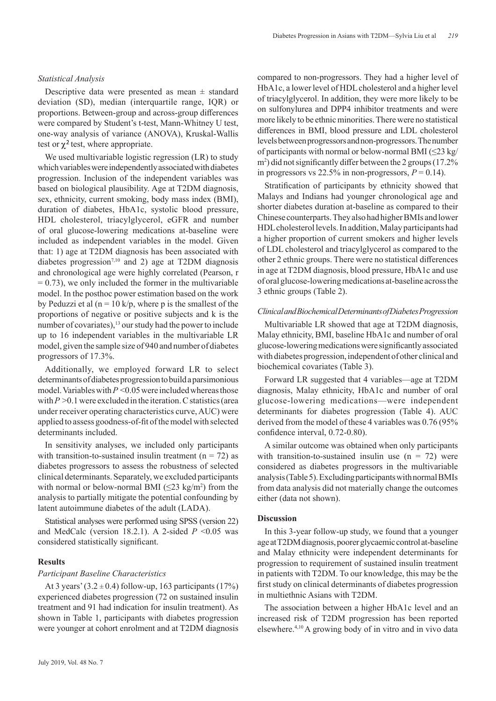## *Statistical Analysis*

Descriptive data were presented as mean  $\pm$  standard deviation (SD), median (interquartile range, IQR) or proportions. Between-group and across-group differences were compared by Student's t-test, Mann-Whitney U test, one-way analysis of variance (ANOVA), Kruskal-Wallis test or  $\chi^2$  test, where appropriate.

We used multivariable logistic regression (LR) to study which variables were independently associated with diabetes progression. Inclusion of the independent variables was based on biological plausibility. Age at T2DM diagnosis, sex, ethnicity, current smoking, body mass index (BMI), duration of diabetes, HbA1c, systolic blood pressure, HDL cholesterol, triacylglycerol, eGFR and number of oral glucose-lowering medications at-baseline were included as independent variables in the model. Given that: 1) age at T2DM diagnosis has been associated with diabetes progression<sup>7,10</sup> and 2) age at T2DM diagnosis and chronological age were highly correlated (Pearson, r  $= 0.73$ ), we only included the former in the multivariable model. In the posthoc power estimation based on the work by Peduzzi et al  $(n = 10 \text{ k/p})$ , where p is the smallest of the proportions of negative or positive subjects and k is the number of covariates),<sup>13</sup> our study had the power to include up to 16 independent variables in the multivariable LR model, given the sample size of 940 and number of diabetes progressors of 17.3%.

Additionally, we employed forward LR to select determinants of diabetes progression to build a parsimonious model. Variables with  $P \le 0.05$  were included whereas those with  $P > 0.1$  were excluded in the iteration. C statistics (area under receiver operating characteristics curve, AUC) were applied to assess goodness-of-fit of the model with selected determinants included.

In sensitivity analyses, we included only participants with transition-to-sustained insulin treatment ( $n = 72$ ) as diabetes progressors to assess the robustness of selected clinical determinants. Separately, we excluded participants with normal or below-normal BMI  $(\leq 23 \text{ kg/m}^2)$  from the analysis to partially mitigate the potential confounding by latent autoimmune diabetes of the adult (LADA).

Statistical analyses were performed using SPSS (version 22) and MedCalc (version 18.2.1). A 2-sided  $P \le 0.05$  was considered statistically significant.

## **Results**

## *Participant Baseline Characteristics*

At 3 years'  $(3.2 \pm 0.4)$  follow-up, 163 participants  $(17%)$ experienced diabetes progression (72 on sustained insulin treatment and 91 had indication for insulin treatment). As shown in Table 1, participants with diabetes progression were younger at cohort enrolment and at T2DM diagnosis compared to non-progressors. They had a higher level of HbA1c, a lower level of HDL cholesterol and a higher level of triacylglycerol. In addition, they were more likely to be on sulfonylurea and DPP4 inhibitor treatments and were more likely to be ethnic minorities. There were no statistical differences in BMI, blood pressure and LDL cholesterol levels between progressors and non-progressors. The number of participants with normal or below-normal BMI (≤23 kg/ m2 ) did not significantly differ between the 2 groups (17.2% in progressors vs  $22.5\%$  in non-progressors,  $P = 0.14$ ).

Stratification of participants by ethnicity showed that Malays and Indians had younger chronological age and shorter diabetes duration at-baseline as compared to their Chinese counterparts. They also had higher BMIs and lower HDL cholesterol levels. In addition, Malay participants had a higher proportion of current smokers and higher levels of LDL cholesterol and triacylglycerol as compared to the other 2 ethnic groups. There were no statistical differences in age at T2DM diagnosis, blood pressure, HbA1c and use of oral glucose-lowering medications at-baseline across the 3 ethnic groups (Table 2).

## *Clinical and Biochemical Determinants of Diabetes Progression*

Multivariable LR showed that age at T2DM diagnosis, Malay ethnicity, BMI, baseline HbA1c and number of oral glucose-lowering medications were significantly associated with diabetes progression, independent of other clinical and biochemical covariates (Table 3).

Forward LR suggested that 4 variables—age at T2DM diagnosis, Malay ethnicity, HbA1c and number of oral glucose-lowering medications—were independent determinants for diabetes progression (Table 4). AUC derived from the model of these 4 variables was 0.76 (95% confidence interval, 0.72-0.80).

A similar outcome was obtained when only participants with transition-to-sustained insulin use  $(n = 72)$  were considered as diabetes progressors in the multivariable analysis (Table 5). Excluding participants with normal BMIs from data analysis did not materially change the outcomes either (data not shown).

#### **Discussion**

In this 3-year follow-up study, we found that a younger age at T2DM diagnosis, poorer glycaemic control at-baseline and Malay ethnicity were independent determinants for progression to requirement of sustained insulin treatment in patients with T2DM. To our knowledge, this may be the first study on clinical determinants of diabetes progression in multiethnic Asians with T2DM.

The association between a higher HbA1c level and an increased risk of T2DM progression has been reported elsewhere.4,10 A growing body of in vitro and in vivo data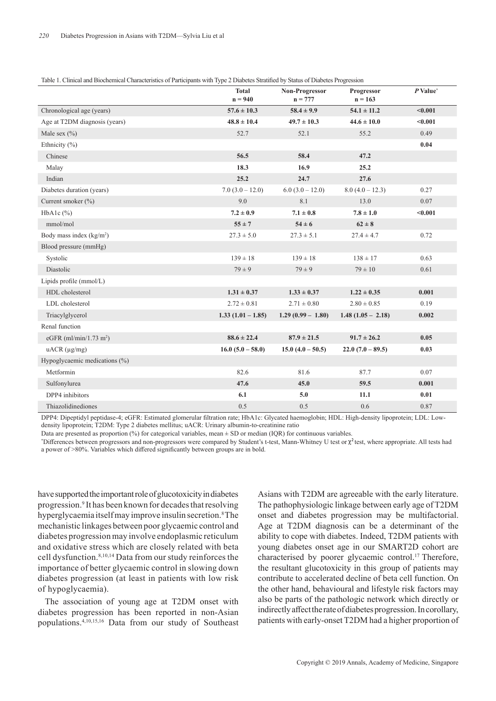| Table 1. Clinical and Biochemical Characteristics of Participants with Type 2 Diabetes Stratified by Status of Diabetes Progression |  |  |  |
|-------------------------------------------------------------------------------------------------------------------------------------|--|--|--|
|                                                                                                                                     |  |  |  |

|                                    | <b>Total</b>        | Non-Progressor      | Progressor          | $P Value*$ |
|------------------------------------|---------------------|---------------------|---------------------|------------|
|                                    | $n = 940$           | $n = 777$           | $n = 163$           |            |
| Chronological age (years)          | $57.6 \pm 10.3$     | $58.4 \pm 9.9$      | $54.1 \pm 11.2$     | $0.001$    |
| Age at T2DM diagnosis (years)      | $48.8 \pm 10.4$     | $49.7 \pm 10.3$     | $44.6 \pm 10.0$     | $0.001$    |
| Male sex $(\% )$                   | 52.7                | 52.1                | 55.2                | 0.49       |
| Ethnicity $(\% )$                  |                     |                     |                     | 0.04       |
| Chinese                            | 56.5                | 58.4                | 47.2                |            |
| Malay                              | 18.3                | 16.9                | 25.2                |            |
| Indian                             | 25.2                | 24.7                | 27.6                |            |
| Diabetes duration (years)          | $7.0(3.0-12.0)$     | $6.0(3.0-12.0)$     | $8.0(4.0 - 12.3)$   | 0.27       |
| Current smoker $(\% )$             | 9.0                 | 8.1                 | 13.0                | 0.07       |
| $HbA1c$ $(\% )$                    | $7.2 \pm 0.9$       | $7.1 \pm 0.8$       | $7.8 \pm 1.0$       | < 0.001    |
| mmol/mol                           | $55 \pm 7$          | $54 \pm 6$          | $62 \pm 8$          |            |
| Body mass index $(kg/m2)$          | $27.3 \pm 5.0$      | $27.3 \pm 5.1$      | $27.4 \pm 4.7$      | 0.72       |
| Blood pressure (mmHg)              |                     |                     |                     |            |
| Systolic                           | $139 \pm 18$        | $139 \pm 18$        | $138 \pm 17$        | 0.63       |
| Diastolic                          | $79 \pm 9$          | $79 \pm 9$          | $79 \pm 10$         | 0.61       |
| Lipids profile (mmol/L)            |                     |                     |                     |            |
| HDL cholesterol                    | $1.31 \pm 0.37$     | $1.33 \pm 0.37$     | $1.22 \pm 0.35$     | 0.001      |
| LDL cholesterol                    | $2.72 \pm 0.81$     | $2.71 \pm 0.80$     | $2.80 \pm 0.85$     | 0.19       |
| Triacylglycerol                    | $1.33(1.01 - 1.85)$ | $1.29(0.99 - 1.80)$ | $1.48(1.05 - 2.18)$ | 0.002      |
| Renal function                     |                     |                     |                     |            |
| eGFR (ml/min/1.73 m <sup>2</sup> ) | $88.6 \pm 22.4$     | $87.9 \pm 21.5$     | $91.7 \pm 26.2$     | 0.05       |
| $uACR$ ( $\mu$ g/mg)               | $16.0 (5.0 - 58.0)$ | $15.0 (4.0 - 50.5)$ | $22.0(7.0-89.5)$    | 0.03       |
| Hypoglycaemic medications (%)      |                     |                     |                     |            |
| Metformin                          | 82.6                | 81.6                | 87.7                | 0.07       |
| Sulfonylurea                       | 47.6                | 45.0                | 59.5                | 0.001      |
| DPP4 inhibitors                    | 6.1                 | 5.0                 | 11.1                | 0.01       |
| Thiazolidinediones                 | 0.5                 | 0.5                 | 0.6                 | $0.87\,$   |

DPP4: Dipeptidyl peptidase-4; eGFR: Estimated glomerular filtration rate; HbA1c: Glycated haemoglobin; HDL: High-density lipoprotein; LDL: Lowdensity lipoprotein; T2DM: Type 2 diabetes mellitus; uACR: Urinary albumin-to-creatinine ratio

Data are presented as proportion (%) for categorical variables, mean ± SD or median (IQR) for continuous variables.

\*Differences between progressors and non-progressors were compared by Student's t-test, Mann-Whitney U test or  $\chi^2$  test, where appropriate. All tests had a power of >80%. Variables which differed significantly between groups are in bold.

have supported the important role of glucotoxicity in diabetes progression.9 It has been known for decades that resolving hyperglycaemia itself may improve insulin secretion.<sup>8</sup> The mechanistic linkages between poor glycaemic control and diabetes progression may involve endoplasmic reticulum and oxidative stress which are closely related with beta cell dysfunction.8,10,14 Data from our study reinforces the importance of better glycaemic control in slowing down diabetes progression (at least in patients with low risk of hypoglycaemia).

The association of young age at T2DM onset with diabetes progression has been reported in non-Asian populations.4,10,15,16 Data from our study of Southeast Asians with T2DM are agreeable with the early literature. The pathophysiologic linkage between early age of T2DM onset and diabetes progression may be multifactorial. Age at T2DM diagnosis can be a determinant of the ability to cope with diabetes. Indeed, T2DM patients with young diabetes onset age in our SMART2D cohort are characterised by poorer glycaemic control.<sup>17</sup> Therefore, the resultant glucotoxicity in this group of patients may contribute to accelerated decline of beta cell function. On the other hand, behavioural and lifestyle risk factors may also be parts of the pathologic network which directly or indirectly affect the rate of diabetes progression. In corollary, patients with early-onset T2DM had a higher proportion of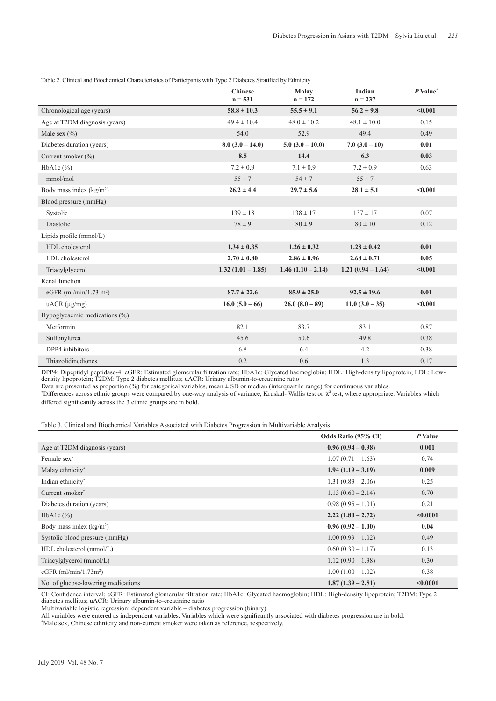## Table 2. Clinical and Biochemical Characteristics of Participants with Type 2 Diabetes Stratified by Ethnicity

|                               | <b>Chinese</b><br>$n = 531$ | <b>Malay</b><br>$n = 172$ | Indian<br>$n = 237$ | $P Value*$ |
|-------------------------------|-----------------------------|---------------------------|---------------------|------------|
| Chronological age (years)     | $58.8 \pm 10.3$             | $55.5 \pm 9.1$            | $56.2 \pm 9.8$      | < 0.001    |
| Age at T2DM diagnosis (years) | $49.4 \pm 10.4$             | $48.0 \pm 10.2$           | $48.1 \pm 10.0$     | 0.15       |
| Male sex $(\% )$              | 54.0                        | 52.9                      | 49.4                | 0.49       |
| Diabetes duration (years)     | $8.0(3.0-14.0)$             | $5.0(3.0-10.0)$           | $7.0(3.0-10)$       | 0.01       |
| Current smoker (%)            | 8.5                         | 14.4                      | 6.3                 | 0.03       |
| HbA1c $(\%)$                  | $7.2 \pm 0.9$               | $7.1 \pm 0.9$             | $7.2 \pm 0.9$       | 0.63       |
| mmol/mol                      | $55 \pm 7$                  | $54 \pm 7$                | $55 \pm 7$          |            |
| Body mass index $(kg/m2)$     | $26.2 \pm 4.4$              | $29.7 \pm 5.6$            | $28.1 \pm 5.1$      | < 0.001    |
| Blood pressure (mmHg)         |                             |                           |                     |            |
| Systolic                      | $139 \pm 18$                | $138 \pm 17$              | $137 \pm 17$        | 0.07       |
| Diastolic                     | $78 \pm 9$                  | $80 \pm 9$                | $80 \pm 10$         | 0.12       |
| Lipids profile (mmol/L)       |                             |                           |                     |            |
| HDL cholesterol               | $1.34 \pm 0.35$             | $1.26 \pm 0.32$           | $1.28 \pm 0.42$     | 0.01       |
| LDL cholesterol               | $2.70 \pm 0.80$             | $2.86 \pm 0.96$           | $2.68 \pm 0.71$     | 0.05       |
| Triacylglycerol               | $1.32(1.01 - 1.85)$         | $1.46(1.10-2.14)$         | $1.21(0.94-1.64)$   | < 0.001    |
| Renal function                |                             |                           |                     |            |
| eGFR $(ml/min/1.73 m2)$       | $87.7 \pm 22.6$             | $85.9 \pm 25.0$           | $92.5 \pm 19.6$     | 0.01       |
| $uACR$ ( $\mu$ g/mg)          | $16.0(5.0-66)$              | $26.0 (8.0 - 89)$         | $11.0(3.0-35)$      | < 0.001    |
| Hypoglycaemic medications (%) |                             |                           |                     |            |
| Metformin                     | 82.1                        | 83.7                      | 83.1                | 0.87       |
| Sulfonylurea                  | 45.6                        | 50.6                      | 49.8                | 0.38       |
| DPP4 inhibitors               | 6.8                         | 6.4                       | 4.2                 | 0.38       |
| Thiazolidinediones            | 0.2                         | 0.6                       | 1.3                 | 0.17       |

DPP4: Dipeptidyl peptidase-4; eGFR: Estimated glomerular filtration rate; HbA1c: Glycated haemoglobin; HDL: High-density lipoprotein; LDL: Lowdensity lipoprotein; T2DM: Type 2 diabetes mellitus; uACR: Urinary albumin-to-creatinine ratio

Data are presented as proportion (%) for categorical variables, mean ± SD or median (interquartile range) for continuous variables.

\*Differences across ethnic groups were compared by one-way analysis of variance, Kruskal-Wallis test or  $\chi^2$  test, where appropriate. Variables which differed significantly across the 3 ethnic groups are in bold.

Table 3. Clinical and Biochemical Variables Associated with Diabetes Progression in Multivariable Analysis

|                                     | Odds Ratio (95% CI) | P Value  |
|-------------------------------------|---------------------|----------|
| Age at T2DM diagnosis (years)       | $0.96(0.94-0.98)$   | 0.001    |
| Female sex*                         | $1.07(0.71-1.63)$   | 0.74     |
| Malay ethnicity*                    | $1.94(1.19 - 3.19)$ | 0.009    |
| Indian ethnicity*                   | $1.31(0.83 - 2.06)$ | 0.25     |
| Current smoker <sup>*</sup>         | $1.13(0.60 - 2.14)$ | 0.70     |
| Diabetes duration (years)           | $0.98(0.95-1.01)$   | 0.21     |
| HbAlc $(\%)$                        | $2.22(1.80-2.72)$   | < 0.0001 |
| Body mass index $(kg/m2)$           | $0.96(0.92-1.00)$   | 0.04     |
| Systolic blood pressure (mmHg)      | $1.00(0.99 - 1.02)$ | 0.49     |
| HDL cholesterol (mmol/L)            | $0.60(0.30 - 1.17)$ | 0.13     |
| Triacylglycerol (mmol/L)            | $1.12(0.90 - 1.38)$ | 0.30     |
| eGFR $(ml/min/1.73m2)$              | $1.00(1.00 - 1.02)$ | 0.38     |
| No. of glucose-lowering medications | $1.87(1.39 - 2.51)$ | < 0.0001 |

CI: Confidence interval; eGFR: Estimated glomerular filtration rate; HbA1c: Glycated haemoglobin; HDL: High-density lipoprotein; T2DM: Type 2 diabetes mellitus; uACR: Urinary albumin-to-creatinine ratio

Multivariable logistic regression: dependent variable – diabetes progression (binary).

All variables were entered as independent variables. Variables which were significantly associated with diabetes progression are in bold.

\* Male sex, Chinese ethnicity and non-current smoker were taken as reference, respectively.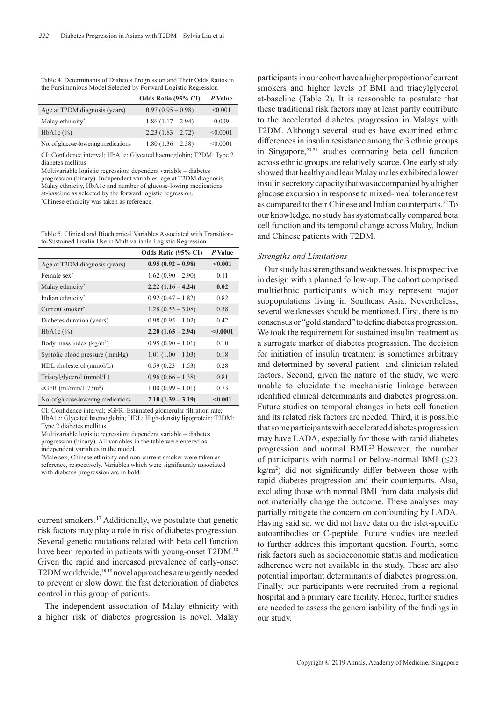| Table 4. Determinants of Diabetes Progression and Their Odds Ratios in |  |
|------------------------------------------------------------------------|--|
| the Parsimonious Model Selected by Forward Logistic Regression         |  |

|                                     | <b>Odds Ratio (95% CI)</b> | P Value  |
|-------------------------------------|----------------------------|----------|
| Age at T2DM diagnosis (years)       | $0.97(0.95-0.98)$          | < 0.001  |
| Malay ethnicity*                    | $1.86(1.17-2.94)$          | 0.009    |
| HbAlc $(\%)$                        | $2.23(1.83 - 2.72)$        | < 0.0001 |
| No. of glucose-lowering medications | $1.80(1.36 - 2.38)$        | < 0.0001 |

CI: Confidence interval; HbA1c: Glycated haemoglobin; T2DM: Type 2 diabetes mellitus

Multivariable logistic regression: dependent variable – diabetes progression (binary). Independent variables: age at T2DM diagnosis, Malay ethnicity, HbA1c and number of glucose-lowing medications at-baseline as selected by the forward logistic regression. \* Chinese ethnicity was taken as reference.

Table 5. Clinical and Biochemical Variables Associated with Transitionto-Sustained Insulin Use in Multivariable Logistic Regression

|                                     | Odds Ratio (95% CI) | P Value  |
|-------------------------------------|---------------------|----------|
| Age at T2DM diagnosis (years)       | $0.95(0.92-0.98)$   | < 0.001  |
| Female sex <sup>*</sup>             | $1.62(0.90-2.90)$   | 0.11     |
| Malay ethnicity*                    | $2.22(1.16 - 4.24)$ | 0.02     |
| Indian ethnicity*                   | $0.92(0.47 - 1.82)$ | 0.82     |
| Current smoker <sup>*</sup>         | $1.28(0.53 - 3.08)$ | 0.58     |
| Diabetes duration (years)           | $0.98(0.95-1.02)$   | 0.42     |
| HbAlc $(\%)$                        | $2.20(1.65 - 2.94)$ | < 0.0001 |
| Body mass index $(kg/m2)$           | $0.95(0.90 - 1.01)$ | 0.10     |
| Systolic blood pressure (mmHg)      | $1.01(1.00 - 1.03)$ | 0.18     |
| HDL cholesterol (mmol/L)            | $0.59(0.23-1.53)$   | 0.28     |
| Triacylglycerol (mmol/L)            | $0.96(0.66 - 1.38)$ | 0.81     |
| eGFR $(ml/min/1.73m2)$              | $1.00(0.99 - 1.01)$ | 0.73     |
| No. of glucose-lowering medications | $2.10(1.39 - 3.19)$ | < 0.001  |

CI: Confidence interval; eGFR: Estimated glomerular filtration rate; HbA1c: Glycated haemoglobin; HDL: High-density lipoprotein; T2DM: Type 2 diabetes mellitus

Multivariable logistic regression: dependent variable – diabetes progression (binary). All variables in the table were entered as independent variables in the model.

\* Male sex, Chinese ethnicity and non-current smoker were taken as reference, respectively. Variables which were significantly associated with diabetes progression are in bold.

current smokers.<sup>17</sup> Additionally, we postulate that genetic risk factors may play a role in risk of diabetes progression. Several genetic mutations related with beta cell function have been reported in patients with young-onset T2DM.<sup>18</sup> Given the rapid and increased prevalence of early-onset T2DM worldwide,18,19 novel approaches are urgently needed to prevent or slow down the fast deterioration of diabetes control in this group of patients.

The independent association of Malay ethnicity with a higher risk of diabetes progression is novel. Malay participants in our cohort have a higher proportion of current smokers and higher levels of BMI and triacylglycerol at-baseline (Table 2). It is reasonable to postulate that these traditional risk factors may at least partly contribute to the accelerated diabetes progression in Malays with T2DM. Although several studies have examined ethnic differences in insulin resistance among the 3 ethnic groups in Singapore,  $20,21$  studies comparing beta cell function across ethnic groups are relatively scarce. One early study showed that healthy and lean Malay males exhibited a lower insulin secretory capacity that was accompanied by a higher glucose excursion in response to mixed-meal tolerance test as compared to their Chinese and Indian counterparts.<sup>22</sup> To our knowledge, no study has systematically compared beta cell function and its temporal change across Malay, Indian and Chinese patients with T2DM.

#### *Strengths and Limitations*

Our study has strengths and weaknesses. It is prospective in design with a planned follow-up. The cohort comprised multiethnic participants which may represent major subpopulations living in Southeast Asia. Nevertheless, several weaknesses should be mentioned. First, there is no consensus or "gold standard" to define diabetes progression. We took the requirement for sustained insulin treatment as a surrogate marker of diabetes progression. The decision for initiation of insulin treatment is sometimes arbitrary and determined by several patient- and clinician-related factors. Second, given the nature of the study, we were unable to elucidate the mechanistic linkage between identified clinical determinants and diabetes progression. Future studies on temporal changes in beta cell function and its related risk factors are needed. Third, it is possible that some participants with accelerated diabetes progression may have LADA, especially for those with rapid diabetes progression and normal BMI.<sup>23</sup> However, the number of participants with normal or below-normal BMI ( $\leq$ 23 kg/m2 ) did not significantly differ between those with rapid diabetes progression and their counterparts. Also, excluding those with normal BMI from data analysis did not materially change the outcome. These analyses may partially mitigate the concern on confounding by LADA. Having said so, we did not have data on the islet-specific autoantibodies or C-peptide. Future studies are needed to further address this important question. Fourth, some risk factors such as socioeconomic status and medication adherence were not available in the study. These are also potential important determinants of diabetes progression. Finally, our participants were recruited from a regional hospital and a primary care facility. Hence, further studies are needed to assess the generalisability of the findings in our study.